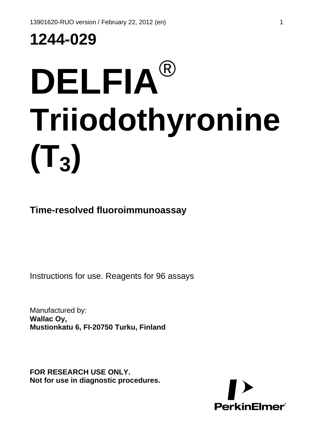# **1244-029**

# **DELFIA**® **Triiodothyronine**  $(T_3)$

**Time-resolved fluoroimmunoassay**

Instructions for use. Reagents for 96 assays

Manufactured by: **Wallac Oy, Mustionkatu 6, FI-20750 Turku, Finland**

**FOR RESEARCH USE ONLY. Not for use in diagnostic procedures.** 

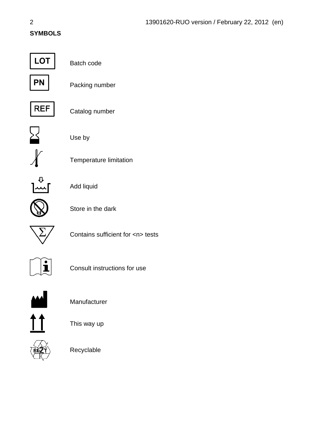### **SYMBOLS**



Batch code



Packing number



Catalog number



Use by



Temperature limitation



Add liquid



Store in the dark



Contains sufficient for <n> tests



Consult instructions for use



Manufacturer



This way up



Recyclable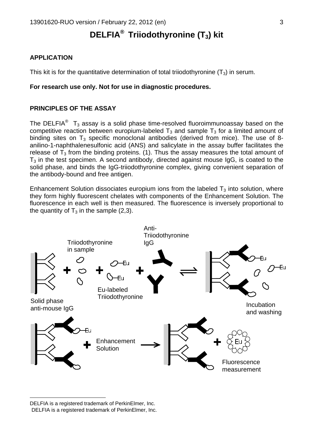## **DELFIA®**  **Triiodothyronine (T3) kit**

#### **APPLICATION**

This kit is for the quantitative determination of total triiodothyronine  $(T_3)$  in serum.

#### **For research use only. Not for use in diagnostic procedures.**

#### **PRINCIPLES OF THE ASSAY**

TheDELFIA<sup>®</sup> T<sub>3</sub> assay is a solid phase time-resolved fluoroimmunoassay based on the competitive reaction between europium-labeled  $T_3$  and sample  $T_3$  for a limited amount of binding sites on  $T_3$  specific monoclonal antibodies (derived from mice). The use of 8anilino-1-naphthalenesulfonic acid (ANS) and salicylate in the assay buffer facilitates the release of  $T_3$  from the binding proteins. (1). Thus the assay measures the total amount of  $T_3$  in the test specimen. A second antibody, directed against mouse  $I_qG$ , is coated to the solid phase, and binds the IgG-triiodothyronine complex, giving convenient separation of the antibody-bound and free antigen.

Enhancement Solution dissociates europium ions from the labeled  $T_3$  into solution, where they form highly fluorescent chelates with components of the Enhancement Solution. The fluorescence in each well is then measured. The fluorescence is inversely proportional to the quantity of  $T_3$  in the sample (2,3).



<span id="page-2-1"></span><span id="page-2-0"></span>DELFIA is a registered trademark of PerkinElmer, Inc.<br>DELFIA is a registered trademark of PerkinElmer, Inc.

 $\overline{a}$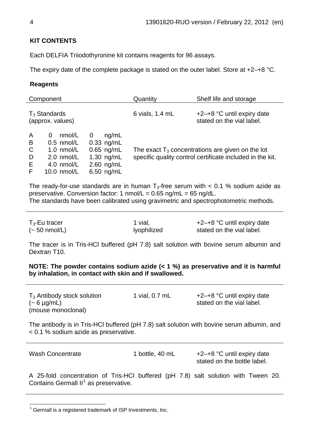#### **KIT CONTENTS**

Each DELFIA Triiodothyronine kit contains reagents for 96 assays.

The expiry date of the complete package is stated on the outer label. Store at  $+2-+8$  °C.

#### **Reagents**

|                                       | Component                                                                                                            |                                                                                            | Quantity        | Shelf life and storage                                                                                           |
|---------------------------------------|----------------------------------------------------------------------------------------------------------------------|--------------------------------------------------------------------------------------------|-----------------|------------------------------------------------------------------------------------------------------------------|
|                                       | $T_3$ Standards<br>(approx. values)                                                                                  |                                                                                            | 6 vials, 1.4 mL | $+2-+8$ °C until expiry date<br>stated on the vial label.                                                        |
| A<br>B<br>$\mathsf{C}$<br>D<br>E<br>F | nmol/L<br>0<br>$0.5 \text{ nmol/L}$<br>$1.0 \text{ nmol/L}$<br>$2.0$ nmol/L<br>$4.0 \text{ nmol/L}$<br>$10.0$ nmol/L | nq/mL<br>0<br>$0.33$ ng/mL<br>$0.65$ ng/mL<br>1.30 $ng/mL$<br>$2.60$ ng/mL<br>$6.50$ ng/mL |                 | The exact $T_3$ concentrations are given on the lot<br>specific quality control certificate included in the kit. |

The ready-for-use standards are in human  $T_3$ -free serum with  $< 0.1$  % sodium azide as preservative. Conversion factor: 1  $n_{\text{mol}}/L = 0.65$  ng/mL = 65 ng/dL. The standards have been calibrated using gravimetric and spectrophotometric methods.

 $T_3$ -Eu tracer  $(-50 \text{ nmol/L})$ 1 vial, lyophilized +2–+8 °C until expiry date stated on the vial label.

The tracer is in Tris-HCl buffered (pH 7.8) salt solution with bovine serum albumin and Dextran T10.

**NOTE: The powder contains sodium azide (< 1 %) as preservative and it is harmful by inhalation, in contact with skin and if swallowed.**

| $T_3$ Antibody stock solution<br>$(-6 \mu g/mL)$<br>(mouse monoclonal)                     | 1 vial, 0.7 mL | $+2$ -+8 °C until expiry date<br>stated on the vial label. |
|--------------------------------------------------------------------------------------------|----------------|------------------------------------------------------------|
| The antibody is in Tris-HCI buffered (pH 7.8) salt solution with bovine serum albumin, and |                |                                                            |

< 0.1 % sodium azide as preservative.

Wash Concentrate 1 bottle, 40 mL +2-+8 °C until expiry date stated on the bottle label.

A 25-fold concentration of Tris-HCl buffered (pH 7.8) salt solution with Tween 20. Contains Germall  $II^1$  $II^1$  as preservative.

<span id="page-3-0"></span>l  $1$  Germall is a registered trademark of ISP Investments, Inc.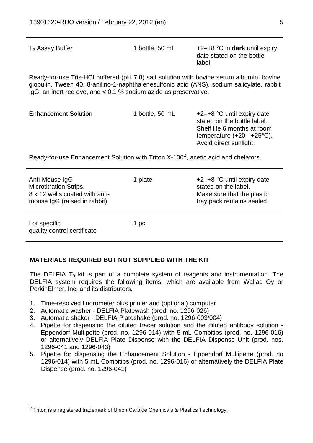| $T_3$ Assay Buffer                                                                                                                                                                                                                                             | 1 bottle, 50 mL | $+2$ –+8 °C in dark until expiry<br>date stated on the bottle<br>label. |  |  |
|----------------------------------------------------------------------------------------------------------------------------------------------------------------------------------------------------------------------------------------------------------------|-----------------|-------------------------------------------------------------------------|--|--|
| Ready-for-use Tris-HCI buffered (pH 7.8) salt solution with bovine serum albumin, bovine<br>globulin, Tween 40, 8-anilino-1-naphthalenesulfonic acid (ANS), sodium salicylate, rabbit<br>$\lg G$ , an inert red dye, and < 0.1 % sodium azide as preservative. |                 |                                                                         |  |  |
| <b>Enhancement Solution</b>                                                                                                                                                                                                                                    | 1 bottle, 50 mL | $+2-+8$ °C until expiry date<br>stated on the bottle label.             |  |  |

Shelf life 6 months at room temperature (+20 - +25°C). Avoid direct sunlight.

Ready-for-use Enhancement Solution with Triton  $X-100^2$  $X-100^2$ , acetic acid and chelators.

| Anti-Mouse IgG<br><b>Microtitration Strips.</b><br>8 x 12 wells coated with anti-<br>mouse IgG (raised in rabbit) | 1 plate | $+2-+8$ °C until expiry date<br>stated on the label.<br>Make sure that the plastic<br>tray pack remains sealed. |
|-------------------------------------------------------------------------------------------------------------------|---------|-----------------------------------------------------------------------------------------------------------------|
| Lot specific<br>quality control certificate                                                                       | 1 pc    |                                                                                                                 |

#### **MATERIALS REQUIRED BUT NOT SUPPLIED WITH THE KIT**

The DELFIA  $T_3$  kit is part of a complete system of reagents and instrumentation. The DELFIA system requires the following items, which are available from Wallac Oy or PerkinElmer, Inc. and its distributors.

- 1. Time-resolved fluorometer plus printer and (optional) computer
- 2. Automatic washer DELFIA Platewash (prod. no. 1296-026)
- 3. Automatic shaker DELFIA Plateshake (prod. no. 1296-003/004)
- 4. Pipette for dispensing the diluted tracer solution and the diluted antibody solution Eppendorf Multipette (prod. no. 1296-014) with 5 mL Combitips (prod. no. 1296-016) or alternatively DELFIA Plate Dispense with the DELFIA Dispense Unit (prod. nos. 1296-041 and 1296-043)
- 5. Pipette for dispensing the Enhancement Solution Eppendorf Multipette (prod. no 1296-014) with 5 mL Combitips (prod. no. 1296-016) or alternatively the DELFIA Plate Dispense (prod. no. 1296-041)

l

<span id="page-4-0"></span> $2$  Triton is a registered trademark of Union Carbide Chemicals & Plastics Technology.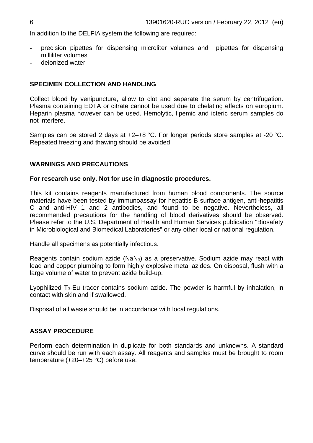In addition to the DELFIA system the following are required:

- precision pipettes for dispensing microliter volumes and pipettes for dispensing milliliter volumes
- deionized water

#### **SPECIMEN COLLECTION AND HANDLING**

Collect blood by venipuncture, allow to clot and separate the serum by centrifugation. Plasma containing EDTA or citrate cannot be used due to chelating effects on europium. Heparin plasma however can be used. Hemolytic, lipemic and icteric serum samples do not interfere.

Samples can be stored 2 days at +2–+8 °C. For longer periods store samples at -20 °C. Repeated freezing and thawing should be avoided.

#### **WARNINGS AND PRECAUTIONS**

#### **For research use only. Not for use in diagnostic procedures.**

This kit contains reagents manufactured from human blood components. The source materials have been tested by immunoassay for hepatitis B surface antigen, anti-hepatitis C and anti-HIV 1 and 2 antibodies, and found to be negative. Nevertheless, all recommended precautions for the handling of blood derivatives should be observed. Please refer to the U.S. Department of Health and Human Services publication "Biosafety in Microbiological and Biomedical Laboratories" or any other local or national regulation.

Handle all specimens as potentially infectious.

Reagents contain sodium azide (NaN<sub>3</sub>) as a preservative. Sodium azide may react with lead and copper plumbing to form highly explosive metal azides. On disposal, flush with a large volume of water to prevent azide build-up.

Lyophilized  $T_3$ -Eu tracer contains sodium azide. The powder is harmful by inhalation, in contact with skin and if swallowed.

Disposal of all waste should be in accordance with local regulations.

#### **ASSAY PROCEDURE**

Perform each determination in duplicate for both standards and unknowns. A standard curve should be run with each assay. All reagents and samples must be brought to room temperature (+20–+25 °C) before use.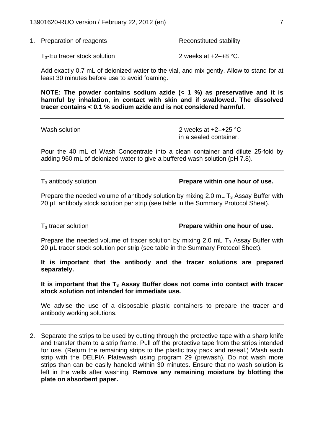| 1. Preparation of reagents | Reconstituted stability |
|----------------------------|-------------------------|
|                            |                         |

 $T_3$ -Eu tracer stock solution 2 weeks at  $+2$ - $+8$  °C.

Add exactly 0.7 mL of deionized water to the vial, and mix gently. Allow to stand for at least 30 minutes before use to avoid foaming.

**NOTE: The powder contains sodium azide (< 1 %) as preservative and it is harmful by inhalation, in contact with skin and if swallowed. The dissolved tracer contains < 0.1 % sodium azide and is not considered harmful.** 

| Wash solution | 2 weeks at $+2-+25$ °C |  |  |
|---------------|------------------------|--|--|
|               | in a sealed container. |  |  |

Pour the 40 mL of Wash Concentrate into a clean container and dilute 25-fold by adding 960 mL of deionized water to give a buffered wash solution (pH 7.8).

T3 antibody solution **Prepare within one hour of use.**

Prepare the needed volume of antibody solution by mixing 2.0 mL  $T_3$  Assay Buffer with 20 µL antibody stock solution per strip (see table in the Summary Protocol Sheet).

T3 tracer solution **Prepare within one hour of use.**

Prepare the needed volume of tracer solution by mixing 2.0 mL  $T_3$  Assay Buffer with 20 uL tracer stock solution per strip (see table in the Summary Protocol Sheet).

**It is important that the antibody and the tracer solutions are prepared separately.** 

It is important that the T<sub>3</sub> Assay Buffer does not come into contact with tracer **stock solution not intended for immediate use.** 

We advise the use of a disposable plastic containers to prepare the tracer and antibody working solutions.

2. Separate the strips to be used by cutting through the protective tape with a sharp knife and transfer them to a strip frame. Pull off the protective tape from the strips intended for use. (Return the remaining strips to the plastic tray pack and reseal.) Wash each strip with the DELFIA Platewash using program 29 (prewash). Do not wash more strips than can be easily handled within 30 minutes. Ensure that no wash solution is left in the wells after washing. **Remove any remaining moisture by blotting the plate on absorbent paper.**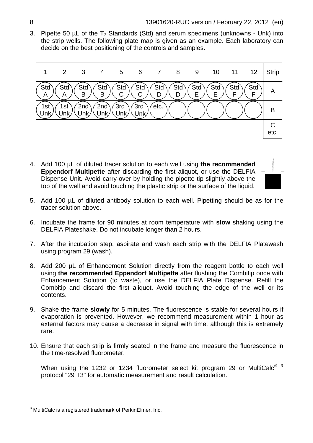3. Pipette 50  $\mu$ L of the T<sub>3</sub> Standards (Std) and serum specimens (unknowns - Unk) into the strip wells. The following plate map is given as an example. Each laboratory can decide on the best positioning of the controls and samples.



4. Add 100 µL of diluted tracer solution to each well using **the recommended Eppendorf Multipette** after discarding the first aliquot, or use the DELFIA Dispense Unit. Avoid carry-over by holding the pipette tip slightly above the top of the well and avoid touching the plastic strip or the surface of the liquid.



- 5. Add 100 µL of diluted antibody solution to each well. Pipetting should be as for the tracer solution above.
- 6. Incubate the frame for 90 minutes at room temperature with **slow** shaking using the DELFIA Plateshake. Do not incubate longer than 2 hours.
- 7. After the incubation step, aspirate and wash each strip with the DELFIA Platewash using program 29 (wash).
- 8. Add 200 µL of Enhancement Solution directly from the reagent bottle to each well using **the recommended Eppendorf Multipette** after flushing the Combitip once with Enhancement Solution (to waste), or use the DELFIA Plate Dispense. Refill the Combitip and discard the first aliquot. Avoid touching the edge of the well or its contents.
- . Shake the frame **slowly** for 5 minutes. The fluorescence is stable for several hours if 9 evaporation is prevented. However, we recommend measurement within 1 hour as external factors may cause a decrease in signal with time, although this is extremely rare.
- 10. Ensure that each strip is firmly seated in the frame and measure the fluorescence in the time-resolved fluorometer.

When using the 1232 or 1234 fluorometer select kit program 29 or MultiCalc®  $3$ protocol "29 T3" for automatic measurement and result calculation.

l

 $3$  MultiCalc is a registered trademark of PerkinElmer, Inc.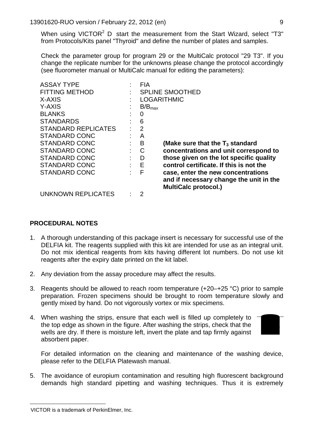When using VICTOR<sup>2</sup> D start the measurement from the Start Wizard, select "T3" from Protocols/Kits panel "Thyroid" and define the number of plates and samples.

Check the parameter group for program 29 or the MultiCalc protocol "29 T3". If you change the replicate number for the unknowns please change the protocol accordingly (see fluorometer manual or MultiCalc manual for editing the parameters):

| <b>ASSAY TYPE</b>          | <b>FIA</b>         |                                         |
|----------------------------|--------------------|-----------------------------------------|
| <b>FITTING METHOD</b>      |                    | <b>SPLINE SMOOTHED</b>                  |
| X-AXIS                     | <b>LOGARITHMIC</b> |                                         |
| Y-AXIS                     | $B/B_{max}$        |                                         |
| <b>BLANKS</b>              | 0                  |                                         |
| <b>STANDARDS</b>           | 6                  |                                         |
| <b>STANDARD REPLICATES</b> | 2                  |                                         |
| <b>STANDARD CONC</b>       | A                  |                                         |
| <b>STANDARD CONC</b>       | B                  | (Make sure that the $T_3$ standard      |
| <b>STANDARD CONC</b>       | C                  | concentrations and unit correspond to   |
| <b>STANDARD CONC</b>       | D                  | those given on the lot specific quality |
| <b>STANDARD CONC</b>       | $-E$               | control certificate. If this is not the |
| <b>STANDARD CONC</b>       | F                  | case, enter the new concentrations      |
|                            |                    | and if necessary change the unit in the |
|                            |                    | <b>MultiCalc protocol.)</b>             |
| <b>UNKNOWN REPLICATES</b>  |                    |                                         |

#### **PROCEDURAL NOTES**

- 1. A thorough understanding of this package insert is necessary for successful use of the DELFIA kit. The reagents supplied with this kit are intended for use as an integral unit. Do not mix identical reagents from kits having different lot numbers. Do not use kit reagents after the expiry date printed on the kit label.
- 2. Any deviation from the assay procedure may affect the results.
- 3. Reagents should be allowed to reach room temperature  $(+20-+25 \degree C)$  prior to sample preparation. Frozen specimens should be brought to room temperature slowly and gently mixed by hand. Do not vigorously vortex or mix specimens.
- 4. When washing the strips, ensure that each well is filled up completely to the top edge as shown in the figure. After washing the strips, check that the wells are dry. If there is moisture left, invert the plate and tap firmly against absorbent paper.



For detailed information on the cleaning and maintenance of the washing device, please refer to the DELFIA Platewash manual.

5. The avoidance of europium contamination and resulting high fluorescent background demands high standard pipetting and washing techniques. Thus it is extremely

l

<span id="page-8-0"></span>VICTOR is a trademark of PerkinElmer, Inc.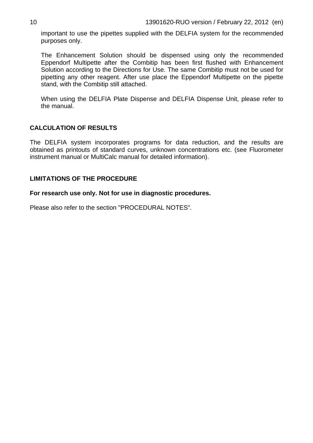important to use the pipettes supplied with the DELFIA system for the recommended purposes only.

The Enhancement Solution should be dispensed using only the recommended Eppendorf Multipette after the Combitip has been first flushed with Enhancement Solution according to the Directions for Use. The same Combitip must not be used for pipetting any other reagent. After use place the Eppendorf Multipette on the pipette stand, with the Combitip still attached.

When using the DELFIA Plate Dispense and DELFIA Dispense Unit, please refer to the manual.

#### **CALCULATION OF RESULTS**

The DELFIA system incorporates programs for data reduction, and the results are obtained as printouts of standard curves, unknown concentrations etc. (see Fluorometer instrument manual or MultiCalc manual for detailed information).

#### **LIMITATIONS OF THE PROCEDURE**

**For research use only. Not for use in diagnostic procedures.** 

Please also refer to the section "PROCEDURAL NOTES".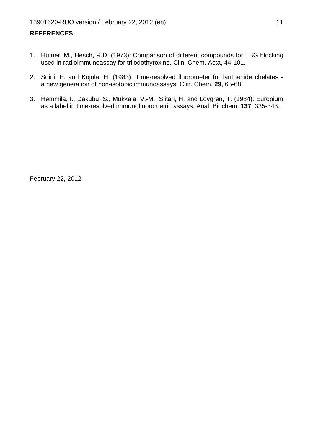#### **REFERENCES**

- 1. Hüfner, M., Hesch, R.D. (1973): Comparison of different compounds for TBG blocking used in radioimmunoassay for triiodothyroxine. Clin. Chem. Acta, 44-101.
- 2. Soini, E. and Kojola, H. (1983): Time-resolved fluorometer for lanthanide chelates a new generation of non-isotopic immunoassays. Clin. Chem. **29**, 65-68.
- 3. Hemmilä, I., Dakubu, S., Mukkala, V.-M., Siitari, H. and Lövgren, T. (1984): Europium as a label in time-resolved immunofluorometric assays. Anal. Biochem. **137**, 335-343.

February 22, 2012